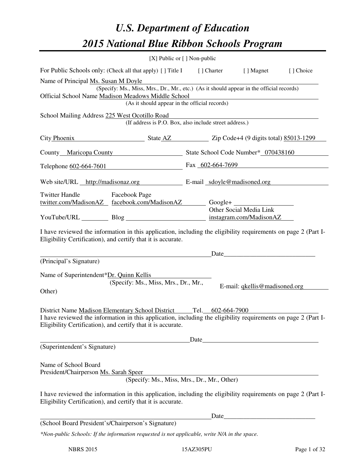# *U.S. Department of Education 2015 National Blue Ribbon Schools Program*

|                                                                                                                                 | $[X]$ Public or $[ ]$ Non-public                                                                                                                                                                                                                     |  |      |                               |           |  |  |
|---------------------------------------------------------------------------------------------------------------------------------|------------------------------------------------------------------------------------------------------------------------------------------------------------------------------------------------------------------------------------------------------|--|------|-------------------------------|-----------|--|--|
|                                                                                                                                 | For Public Schools only: (Check all that apply) [] Title I [] Charter [] Magnet                                                                                                                                                                      |  |      |                               | [] Choice |  |  |
| Name of Principal Ms. Susan M Doyle<br>(Specify: Ms., Miss, Mrs., Dr., Mr., etc.) (As it should appear in the official records) |                                                                                                                                                                                                                                                      |  |      |                               |           |  |  |
| Official School Name Madison Meadows Middle School<br>(As it should appear in the official records)                             |                                                                                                                                                                                                                                                      |  |      |                               |           |  |  |
|                                                                                                                                 | School Mailing Address 225 West Ocotillo Road<br>(If address is P.O. Box, also include street address.)                                                                                                                                              |  |      |                               |           |  |  |
|                                                                                                                                 | City Phoenix State AZ Zip Code+4 (9 digits total) 85013-1299                                                                                                                                                                                         |  |      |                               |           |  |  |
|                                                                                                                                 | County Maricopa County State School Code Number* 070438160                                                                                                                                                                                           |  |      |                               |           |  |  |
|                                                                                                                                 | Telephone <u>602-664-7601</u> Fax 602-664-7699                                                                                                                                                                                                       |  |      |                               |           |  |  |
|                                                                                                                                 | Web site/URL http://madisonaz.org E-mail sdoyle@madisoned.org                                                                                                                                                                                        |  |      |                               |           |  |  |
| Twitter Handle Facebook Page                                                                                                    |                                                                                                                                                                                                                                                      |  |      |                               |           |  |  |
|                                                                                                                                 | <u>twitter.com/MadisonAZ</u> facebook.com/MadisonAZ Google+                                                                                                                                                                                          |  |      | Other Social Media Link       |           |  |  |
|                                                                                                                                 | YouTube/URL Blog Blog instagram.com/MadisonAZ                                                                                                                                                                                                        |  |      |                               |           |  |  |
| (Principal's Signature)                                                                                                         | Eligibility Certification), and certify that it is accurate.<br>Name of Superintendent*Dr. Quinn Kellis                                                                                                                                              |  |      | Date                          |           |  |  |
| Other)                                                                                                                          | (Specify: Ms., Miss, Mrs., Dr., Mr.,                                                                                                                                                                                                                 |  |      | E-mail: gkellis@madisoned.org |           |  |  |
|                                                                                                                                 | District Name Madison Elementary School District Tel. 602-664-7900<br>I have reviewed the information in this application, including the eligibility requirements on page 2 (Part I-<br>Eligibility Certification), and certify that it is accurate. |  |      |                               |           |  |  |
|                                                                                                                                 |                                                                                                                                                                                                                                                      |  |      |                               |           |  |  |
| (Superintendent's Signature)<br>Name of School Board                                                                            |                                                                                                                                                                                                                                                      |  |      |                               |           |  |  |
| President/Chairperson Ms. Sarah Speer                                                                                           |                                                                                                                                                                                                                                                      |  |      |                               |           |  |  |
|                                                                                                                                 | (Specify: Ms., Miss, Mrs., Dr., Mr., Other)                                                                                                                                                                                                          |  |      |                               |           |  |  |
|                                                                                                                                 | I have reviewed the information in this application, including the eligibility requirements on page 2 (Part I-<br>Eligibility Certification), and certify that it is accurate.                                                                       |  |      |                               |           |  |  |
|                                                                                                                                 |                                                                                                                                                                                                                                                      |  | Date |                               |           |  |  |
|                                                                                                                                 | (School Board President's/Chairperson's Signature)                                                                                                                                                                                                   |  |      |                               |           |  |  |
|                                                                                                                                 | *Non-public Schools: If the information requested is not applicable, write N/A in the space.                                                                                                                                                         |  |      |                               |           |  |  |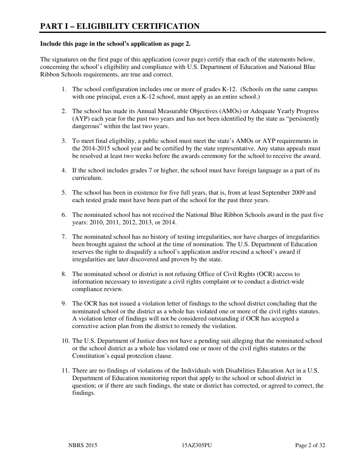#### **Include this page in the school's application as page 2.**

The signatures on the first page of this application (cover page) certify that each of the statements below, concerning the school's eligibility and compliance with U.S. Department of Education and National Blue Ribbon Schools requirements, are true and correct.

- 1. The school configuration includes one or more of grades K-12. (Schools on the same campus with one principal, even a K-12 school, must apply as an entire school.)
- 2. The school has made its Annual Measurable Objectives (AMOs) or Adequate Yearly Progress (AYP) each year for the past two years and has not been identified by the state as "persistently dangerous" within the last two years.
- 3. To meet final eligibility, a public school must meet the state's AMOs or AYP requirements in the 2014-2015 school year and be certified by the state representative. Any status appeals must be resolved at least two weeks before the awards ceremony for the school to receive the award.
- 4. If the school includes grades 7 or higher, the school must have foreign language as a part of its curriculum.
- 5. The school has been in existence for five full years, that is, from at least September 2009 and each tested grade must have been part of the school for the past three years.
- 6. The nominated school has not received the National Blue Ribbon Schools award in the past five years: 2010, 2011, 2012, 2013, or 2014.
- 7. The nominated school has no history of testing irregularities, nor have charges of irregularities been brought against the school at the time of nomination. The U.S. Department of Education reserves the right to disqualify a school's application and/or rescind a school's award if irregularities are later discovered and proven by the state.
- 8. The nominated school or district is not refusing Office of Civil Rights (OCR) access to information necessary to investigate a civil rights complaint or to conduct a district-wide compliance review.
- 9. The OCR has not issued a violation letter of findings to the school district concluding that the nominated school or the district as a whole has violated one or more of the civil rights statutes. A violation letter of findings will not be considered outstanding if OCR has accepted a corrective action plan from the district to remedy the violation.
- 10. The U.S. Department of Justice does not have a pending suit alleging that the nominated school or the school district as a whole has violated one or more of the civil rights statutes or the Constitution's equal protection clause.
- 11. There are no findings of violations of the Individuals with Disabilities Education Act in a U.S. Department of Education monitoring report that apply to the school or school district in question; or if there are such findings, the state or district has corrected, or agreed to correct, the findings.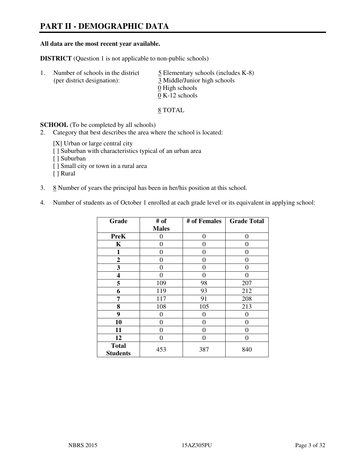# **PART II - DEMOGRAPHIC DATA**

#### **All data are the most recent year available.**

**DISTRICT** (Question 1 is not applicable to non-public schools)

| $\perp$ | Number of schools in the district<br>(per district designation): | $\overline{5}$ Elementary schools (includes K-8)<br>3 Middle/Junior high schools |
|---------|------------------------------------------------------------------|----------------------------------------------------------------------------------|
|         |                                                                  | 0 High schools<br>$0 K-12$ schools                                               |

8 TOTAL

**SCHOOL** (To be completed by all schools)

- 2. Category that best describes the area where the school is located:
	- [X] Urban or large central city
	- [ ] Suburban with characteristics typical of an urban area
	- [ ] Suburban
	- [ ] Small city or town in a rural area
	- [ ] Rural
- 3.  $8$  Number of years the principal has been in her/his position at this school.
- 4. Number of students as of October 1 enrolled at each grade level or its equivalent in applying school:

| Grade                           | # of         | # of Females | <b>Grade Total</b> |
|---------------------------------|--------------|--------------|--------------------|
|                                 | <b>Males</b> |              |                    |
| <b>PreK</b>                     | 0            | $\theta$     | $\theta$           |
| K                               | 0            | 0            | 0                  |
| 1                               | 0            | 0            | $\theta$           |
| $\mathbf{2}$                    | 0            | 0            | $\Omega$           |
| 3                               | 0            | 0            | $\theta$           |
| 4                               | 0            | $\theta$     | 0                  |
| 5                               | 109          | 98           | 207                |
| 6                               | 119          | 93           | 212                |
| 7                               | 117          | 91           | 208                |
| 8                               | 108          | 105          | 213                |
| 9                               | 0            | $\theta$     | 0                  |
| 10                              | 0            | 0            | 0                  |
| 11                              | 0            | 0            | $\theta$           |
| 12                              | 0            | 0            | 0                  |
| <b>Total</b><br><b>Students</b> | 453          | 387          | 840                |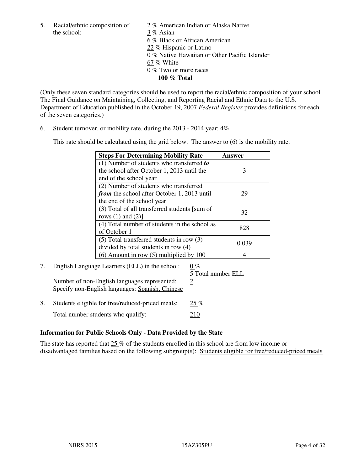the school: 3 % Asian

5. Racial/ethnic composition of  $\frac{2}{\sqrt{2}}$  % American Indian or Alaska Native 6 % Black or African American 22 % Hispanic or Latino 0 % Native Hawaiian or Other Pacific Islander 67 % White 0 % Two or more races **100 % Total** 

(Only these seven standard categories should be used to report the racial/ethnic composition of your school. The Final Guidance on Maintaining, Collecting, and Reporting Racial and Ethnic Data to the U.S. Department of Education published in the October 19, 2007 *Federal Register* provides definitions for each of the seven categories.)

6. Student turnover, or mobility rate, during the 2013 - 2014 year: 4%

This rate should be calculated using the grid below. The answer to (6) is the mobility rate.

| <b>Steps For Determining Mobility Rate</b>         | Answer |
|----------------------------------------------------|--------|
| $(1)$ Number of students who transferred to        |        |
| the school after October 1, 2013 until the         | 3      |
| end of the school year                             |        |
| (2) Number of students who transferred             |        |
| <i>from</i> the school after October 1, 2013 until | 29     |
| the end of the school year                         |        |
| (3) Total of all transferred students [sum of      | 32     |
| rows $(1)$ and $(2)$ ]                             |        |
| (4) Total number of students in the school as      | 828    |
| of October 1                                       |        |
| $(5)$ Total transferred students in row $(3)$      | 0.039  |
| divided by total students in row (4)               |        |
| $(6)$ Amount in row $(5)$ multiplied by 100        |        |

# 7. English Language Learners (ELL) in the school:  $0\%$

Number of non-English languages represented:  $2$ Specify non-English languages: Spanish, Chinese

5 Total number ELL

8. Students eligible for free/reduced-priced meals:  $25\%$ Total number students who qualify: 210

#### **Information for Public Schools Only - Data Provided by the State**

The state has reported that  $25\%$  of the students enrolled in this school are from low income or disadvantaged families based on the following subgroup(s): Students eligible for free/reduced-priced meals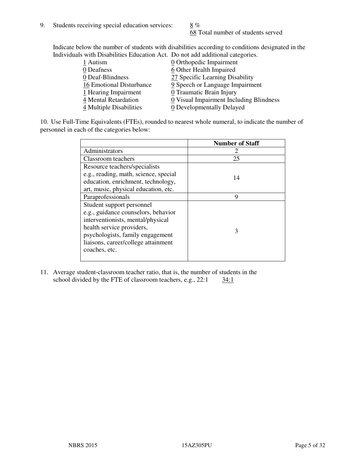68 Total number of students served

Indicate below the number of students with disabilities according to conditions designated in the Individuals with Disabilities Education Act. Do not add additional categories.

| 1 Autism                 | $Q$ Orthopedic Impairment               |
|--------------------------|-----------------------------------------|
| 0 Deafness               | 6 Other Health Impaired                 |
| 0 Deaf-Blindness         | 27 Specific Learning Disability         |
| 16 Emotional Disturbance | 9 Speech or Language Impairment         |
| 1 Hearing Impairment     | 0 Traumatic Brain Injury                |
| 4 Mental Retardation     | 0 Visual Impairment Including Blindness |
| 4 Multiple Disabilities  | 0 Developmentally Delayed               |
|                          |                                         |

10. Use Full-Time Equivalents (FTEs), rounded to nearest whole numeral, to indicate the number of personnel in each of the categories below:

|                                       | <b>Number of Staff</b> |
|---------------------------------------|------------------------|
| Administrators                        |                        |
| Classroom teachers                    | 25                     |
| Resource teachers/specialists         |                        |
| e.g., reading, math, science, special | 14                     |
| education, enrichment, technology,    |                        |
| art, music, physical education, etc.  |                        |
| Paraprofessionals                     | 9                      |
| Student support personnel             |                        |
| e.g., guidance counselors, behavior   |                        |
| interventionists, mental/physical     |                        |
| health service providers,             | 3                      |
| psychologists, family engagement      |                        |
| liaisons, career/college attainment   |                        |
| coaches, etc.                         |                        |
|                                       |                        |

11. Average student-classroom teacher ratio, that is, the number of students in the school divided by the FTE of classroom teachers, e.g.,  $22:1$   $34:1$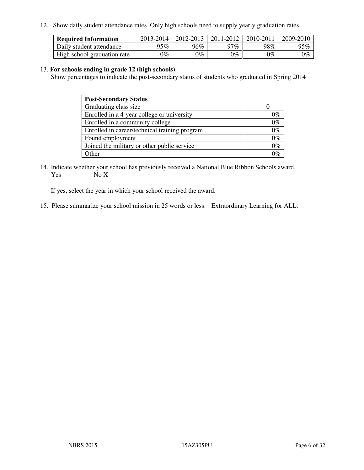12. Show daily student attendance rates. Only high schools need to supply yearly graduation rates.

| <b>Required Information</b> | 2013-2014 | 2012-2013 | 2011-2012 | 2010-2011 | 2009-2010 |
|-----------------------------|-----------|-----------|-----------|-----------|-----------|
| Daily student attendance    | $95\%$    | $96\%$    | 97%       | 98%       | 95%       |
| High school graduation rate | 9%        | $0\%$     | $0\%$     | 0%        | $0\%$     |

#### 13. **For schools ending in grade 12 (high schools)**

Show percentages to indicate the post-secondary status of students who graduated in Spring 2014

| <b>Post-Secondary Status</b>                  |       |
|-----------------------------------------------|-------|
| Graduating class size                         |       |
| Enrolled in a 4-year college or university    | በ‰    |
| Enrolled in a community college               | $0\%$ |
| Enrolled in career/technical training program | $0\%$ |
| Found employment                              | $0\%$ |
| Joined the military or other public service   | 0%    |
| Other                                         |       |

14. Indicate whether your school has previously received a National Blue Ribbon Schools award. Yes  $\qquad \qquad$  No  $\underline{X}$ 

If yes, select the year in which your school received the award.

15. Please summarize your school mission in 25 words or less: Extraordinary Learning for ALL.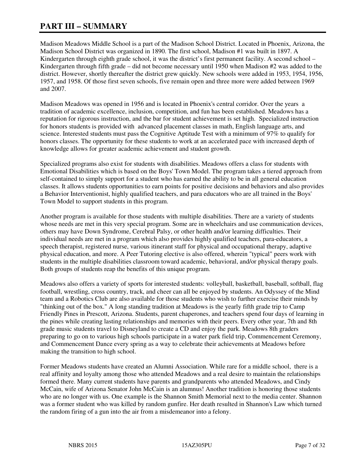## **PART III – SUMMARY**

Madison Meadows Middle School is a part of the Madison School District. Located in Phoenix, Arizona, the Madison School District was organized in 1890. The first school, Madison #1 was built in 1897. A Kindergarten through eighth grade school, it was the district's first permanent facility. A second school – Kindergarten through fifth grade – did not become necessary until 1950 when Madison #2 was added to the district. However, shortly thereafter the district grew quickly. New schools were added in 1953, 1954, 1956, 1957, and 1958. Of those first seven schools, five remain open and three more were added between 1969 and 2007.

Madison Meadows was opened in 1956 and is located in Phoenix's central corridor. Over the years a tradition of academic excellence, inclusion, competition, and fun has been established. Meadows has a reputation for rigorous instruction, and the bar for student achievement is set high. Specialized instruction for honors students is provided with advanced placement classes in math, English language arts, and science. Interested students must pass the Cognitive Aptitude Test with a minimum of 97% to qualify for honors classes. The opportunity for these students to work at an accelerated pace with increased depth of knowledge allows for greater academic achievement and student growth.

Specialized programs also exist for students with disabilities. Meadows offers a class for students with Emotional Disabilities which is based on the Boys' Town Model. The program takes a tiered approach from self-contained to simply support for a student who has earned the ability to be in all general education classes. It allows students opportunities to earn points for positive decisions and behaviors and also provides a Behavior Interventionist, highly qualified teachers, and para educators who are all trained in the Boys' Town Model to support students in this program.

Another program is available for those students with multiple disabilities. There are a variety of students whose needs are met in this very special program. Some are in wheelchairs and use communication devices, others may have Down Syndrome, Cerebral Palsy, or other health and/or learning difficulties. Their individual needs are met in a program which also provides highly qualified teachers, para-educators, a speech therapist, registered nurse, various itinerant staff for physical and occupational therapy, adaptive physical education, and more. A Peer Tutoring elective is also offered, wherein "typical" peers work with students in the multiple disabilities classroom toward academic, behavioral, and/or physical therapy goals. Both groups of students reap the benefits of this unique program.

Meadows also offers a variety of sports for interested students: volleyball, basketball, baseball, softball, flag football, wrestling, cross country, track, and cheer can all be enjoyed by students. An Odyssey of the Mind team and a Robotics Club are also available for those students who wish to further exercise their minds by "thinking out of the box." A long standing tradition at Meadows is the yearly fifth grade trip to Camp Friendly Pines in Prescott, Arizona. Students, parent chaperones, and teachers spend four days of learning in the pines while creating lasting relationships and memories with their peers. Every other year, 7th and 8th grade music students travel to Disneyland to create a CD and enjoy the park. Meadows 8th graders preparing to go on to various high schools participate in a water park field trip, Commencement Ceremony, and Commencement Dance every spring as a way to celebrate their achievements at Meadows before making the transition to high school.

Former Meadows students have created an Alumni Association. While rare for a middle school, there is a real affinity and loyalty among those who attended Meadows and a real desire to maintain the relationships formed there. Many current students have parents and grandparents who attended Meadows, and Cindy McCain, wife of Arizona Senator John McCain is an alumnus! Another tradition is honoring those students who are no longer with us. One example is the Shannon Smith Memorial next to the media center. Shannon was a former student who was killed by random gunfire. Her death resulted in Shannon's Law which turned the random firing of a gun into the air from a misdemeanor into a felony.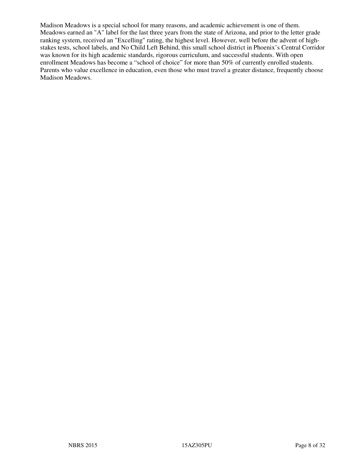Madison Meadows is a special school for many reasons, and academic achievement is one of them. Meadows earned an "A" label for the last three years from the state of Arizona, and prior to the letter grade ranking system, received an "Excelling" rating, the highest level. However, well before the advent of highstakes tests, school labels, and No Child Left Behind, this small school district in Phoenix's Central Corridor was known for its high academic standards, rigorous curriculum, and successful students. With open enrollment Meadows has become a "school of choice" for more than 50% of currently enrolled students. Parents who value excellence in education, even those who must travel a greater distance, frequently choose Madison Meadows.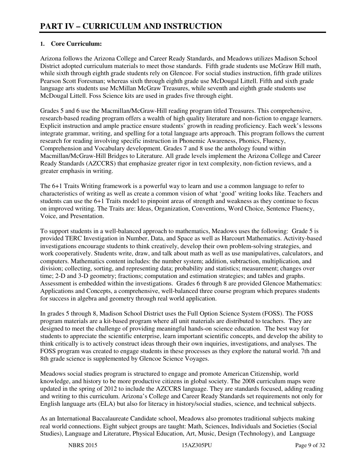#### **1. Core Curriculum:**

Arizona follows the Arizona College and Career Ready Standards, and Meadows utilizes Madison School District adopted curriculum materials to meet those standards. Fifth grade students use McGraw Hill math, while sixth through eighth grade students rely on Glencoe. For social studies instruction, fifth grade utilizes Pearson Scott Foresman; whereas sixth through eighth grade use McDougal Littell. Fifth and sixth grade language arts students use McMillan McGraw Treasures, while seventh and eighth grade students use McDougal Littell. Foss Science kits are used in grades five through eight.

Grades 5 and 6 use the Macmillan/McGraw-Hill reading program titled Treasures. This comprehensive, research-based reading program offers a wealth of high quality literature and non-fiction to engage learners. Explicit instruction and ample practice ensure students' growth in reading proficiency. Each week's lessons integrate grammar, writing, and spelling for a total language arts approach. This program follows the current research for reading involving specific instruction in Phonemic Awareness, Phonics, Fluency, Comprehension and Vocabulary development. Grades 7 and 8 use the anthology found within Macmillan/McGraw-Hill Bridges to Literature. All grade levels implement the Arizona College and Career Ready Standards (AZCCRS) that emphasize greater rigor in text complexity, non-fiction reviews, and a greater emphasis in writing.

The 6+1 Traits Writing framework is a powerful way to learn and use a common language to refer to characteristics of writing as well as create a common vision of what 'good' writing looks like. Teachers and students can use the 6+1 Traits model to pinpoint areas of strength and weakness as they continue to focus on improved writing. The Traits are: Ideas, Organization, Conventions, Word Choice, Sentence Fluency, Voice, and Presentation.

To support students in a well-balanced approach to mathematics, Meadows uses the following: Grade 5 is provided TERC Investigation in Number, Data, and Space as well as Harcourt Mathematics. Activity-based investigations encourage students to think creatively, develop their own problem-solving strategies, and work cooperatively. Students write, draw, and talk about math as well as use manipulatives, calculators, and computers. Mathematics content includes: the number system; addition, subtraction, multiplication, and division; collecting, sorting, and representing data; probability and statistics; measurement; changes over time; 2-D and 3-D geometry; fractions; computation and estimation strategies; and tables and graphs. Assessment is embedded within the investigations. Grades 6 through 8 are provided Glencoe Mathematics: Applications and Concepts, a comprehensive, well-balanced three course program which prepares students for success in algebra and geometry through real world application.

In grades 5 through 8, Madison School District uses the Full Option Science System (FOSS). The FOSS program materials are a kit-based program where all unit materials are distributed to teachers. They are designed to meet the challenge of providing meaningful hands-on science education. The best way for students to appreciate the scientific enterprise, learn important scientific concepts, and develop the ability to think critically is to actively construct ideas through their own inquiries, investigations, and analyses. The FOSS program was created to engage students in these processes as they explore the natural world. 7th and 8th grade science is supplemented by Glencoe Science Voyages.

Meadows social studies program is structured to engage and promote American Citizenship, world knowledge, and history to be more productive citizens in global society. The 2008 curriculum maps were updated in the spring of 2012 to include the AZCCRS language. They are standards focused, adding reading and writing to this curriculum. Arizona's College and Career Ready Standards set requirements not only for English language arts (ELA) but also for literacy in history/social studies, science, and technical subjects.

As an International Baccalaureate Candidate school, Meadows also promotes traditional subjects making real world connections. Eight subject groups are taught: Math, Sciences, Individuals and Societies (Social Studies), Language and Literature, Physical Education, Art, Music, Design (Technology), and Language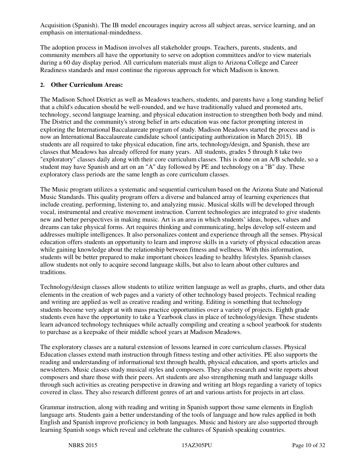Acquisition (Spanish). The IB model encourages inquiry across all subject areas, service learning, and an emphasis on international-mindedness.

The adoption process in Madison involves all stakeholder groups. Teachers, parents, students, and community members all have the opportunity to serve on adoption committees and/or to view materials during a 60 day display period. All curriculum materials must align to Arizona College and Career Readiness standards and must continue the rigorous approach for which Madison is known.

#### **2. Other Curriculum Areas:**

The Madison School District as well as Meadows teachers, students, and parents have a long standing belief that a child's education should be well-rounded, and we have traditionally valued and promoted arts, technology, second language learning, and physical education instruction to strengthen both body and mind. The District and the community's strong belief in arts education was one factor prompting interest in exploring the International Baccalaureate program of study. Madison Meadows started the process and is now an International Baccalaureate candidate school (anticipating authorization in March 2015). IB students are all required to take physical education, fine arts, technology/design, and Spanish, these are classes that Meadows has already offered for many years. All students, grades 5 through 8 take two "exploratory" classes daily along with their core curriculum classes. This is done on an A/B schedule, so a student may have Spanish and art on an "A" day followed by PE and technology on a "B" day. These exploratory class periods are the same length as core curriculum classes.

The Music program utilizes a systematic and sequential curriculum based on the Arizona State and National Music Standards. This quality program offers a diverse and balanced array of learning experiences that include creating, performing, listening to, and analyzing music. Musical skills will be developed through vocal, instrumental and creative movement instruction. Current technologies are integrated to give students new and better perspectives in making music. Art is an area in which students' ideas, hopes, values and dreams can take physical forms. Art requires thinking and communicating, helps develop self-esteem and addresses multiple intelligences. It also personalizes content and experience through all the senses. Physical education offers students an opportunity to learn and improve skills in a variety of physical education areas while gaining knowledge about the relationship between fitness and wellness. With this information, students will be better prepared to make important choices leading to healthy lifestyles. Spanish classes allow students not only to acquire second language skills, but also to learn about other cultures and traditions.

Technology/design classes allow students to utilize written language as well as graphs, charts, and other data elements in the creation of web pages and a variety of other technology based projects. Technical reading and writing are applied as well as creative reading and writing. Editing is something that technology students become very adept at with mass practice opportunities over a variety of projects. Eighth grade students even have the opportunity to take a Yearbook class in place of technology/design. These students learn advanced technology techniques while actually compiling and creating a school yearbook for students to purchase as a keepsake of their middle school years at Madison Meadows.

The exploratory classes are a natural extension of lessons learned in core curriculum classes. Physical Education classes extend math instruction through fitness testing and other activities. PE also supports the reading and understanding of informational text through health, physical education, and sports articles and newsletters. Music classes study musical styles and composers. They also research and write reports about composers and share those with their peers. Art students are also strengthening math and language skills through such activities as creating perspective in drawing and writing art blogs regarding a variety of topics covered in class. They also research different genres of art and various artists for projects in art class.

Grammar instruction, along with reading and writing in Spanish support those same elements in English language arts. Students gain a better understanding of the tools of language and how rules applied in both English and Spanish improve proficiency in both languages. Music and history are also supported through learning Spanish songs which reveal and celebrate the cultures of Spanish speaking countries.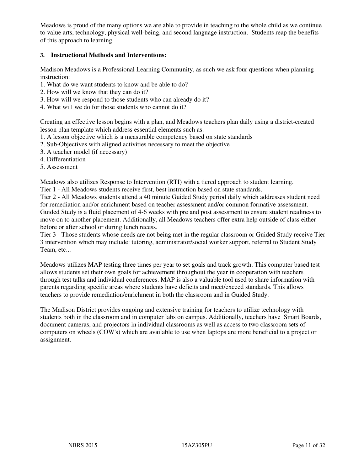Meadows is proud of the many options we are able to provide in teaching to the whole child as we continue to value arts, technology, physical well-being, and second language instruction. Students reap the benefits of this approach to learning.

#### **3. Instructional Methods and Interventions:**

Madison Meadows is a Professional Learning Community, as such we ask four questions when planning instruction:

- 1. What do we want students to know and be able to do?
- 2. How will we know that they can do it?
- 3. How will we respond to those students who can already do it?
- 4. What will we do for those students who cannot do it?

Creating an effective lesson begins with a plan, and Meadows teachers plan daily using a district-created lesson plan template which address essential elements such as:

- 1. A lesson objective which is a measurable competency based on state standards
- 2. Sub-Objectives with aligned activities necessary to meet the objective
- 3. A teacher model (if necessary)
- 4. Differentiation
- 5. Assessment

Meadows also utilizes Response to Intervention (RTI) with a tiered approach to student learning.

Tier 1 - All Meadows students receive first, best instruction based on state standards.

Tier 2 - All Meadows students attend a 40 minute Guided Study period daily which addresses student need for remediation and/or enrichment based on teacher assessment and/or common formative assessment. Guided Study is a fluid placement of 4-6 weeks with pre and post assessment to ensure student readiness to move on to another placement. Additionally, all Meadows teachers offer extra help outside of class either before or after school or during lunch recess.

Tier 3 - Those students whose needs are not being met in the regular classroom or Guided Study receive Tier 3 intervention which may include: tutoring, administrator/social worker support, referral to Student Study Team, etc...

Meadows utilizes MAP testing three times per year to set goals and track growth. This computer based test allows students set their own goals for achievement throughout the year in cooperation with teachers through test talks and individual conferences. MAP is also a valuable tool used to share information with parents regarding specific areas where students have deficits and meet/exceed standards. This allows teachers to provide remediation/enrichment in both the classroom and in Guided Study.

The Madison District provides ongoing and extensive training for teachers to utilize technology with students both in the classroom and in computer labs on campus. Additionally, teachers have Smart Boards, document cameras, and projectors in individual classrooms as well as access to two classroom sets of computers on wheels (COW's) which are available to use when laptops are more beneficial to a project or assignment.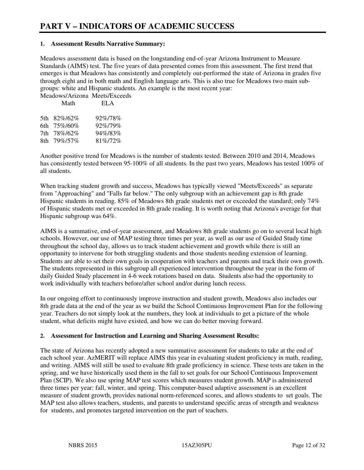#### **1. Assessment Results Narrative Summary:**

Meadows assessment data is based on the longstanding end-of-year Arizona Instrument to Measure Standards (AIMS) test. The five years of data presented comes from this assessment. The first trend that emerges is that Meadows has consistently and completely out-performed the state of Arizona in grades five through eight and in both math and English language arts. This is also true for Meadows two main subgroups: white and Hispanic students. An example is the most recent year: Meadows/Arizona Meets/Exceeds

| IVICAUOWS/AITZOITA IVICCIS/LACCC<br>Math | ELA     |
|------------------------------------------|---------|
|                                          |         |
| 5th 82%/62%                              | 92%/78% |
|                                          |         |
| 6th 75%/60%                              | 92%/79% |
| 7th 78%/62%                              | 94%/83% |
| 8th 79%/57%                              | 81%/72% |

Another positive trend for Meadows is the number of students tested. Between 2010 and 2014, Meadows has consistently tested between 95-100% of all students. In the past two years, Meadows has tested 100% of all students.

When tracking student growth and success, Meadows has typically viewed "Meets/Exceeds" as separate from "Approaching" and "Falls far below." The only subgroup with an achievement gap is 8th grade Hispanic students in reading. 85% of Meadows 8th grade students met or exceeded the standard; only 74% of Hispanic students met or exceeded in 8th grade reading. It is worth noting that Arizona's average for that Hispanic subgroup was 64%.

AIMS is a summative, end-of-year assessment, and Meadows 8th grade students go on to several local high schools. However, our use of MAP testing three times per year, as well as our use of Guided Study time throughout the school day, allows us to track student achievement and growth while there is still an opportunity to intervene for both struggling students and those students needing extension of learning. Students are able to set their own goals in cooperation with teachers and parents and track their own growth. The students represented in this subgroup all experienced intervention throughout the year in the form of daily Guided Study placement in 4-6 week rotations based on data. Students also had the opportunity to work individually with teachers before/after school and/or during lunch recess.

In our ongoing effort to continuously improve instruction and student growth, Meadows also includes our 8th grade data at the end of the year as we build the School Continuous Improvement Plan for the following year. Teachers do not simply look at the numbers, they look at individuals to get a picture of the whole student, what deficits might have existed, and how we can do better moving forward.

#### **2. Assessment for Instruction and Learning and Sharing Assessment Results:**

The state of Arizona has recently adopted a new summative assessment for students to take at the end of each school year. AzMERIT will replace AIMS this year in evaluating student proficiency in math, reading, and writing. AIMS will still be used to evaluate 8th grade proficiency in science. These tests are taken in the spring, and we have historically used them in the fall to set goals for our School Continuous Improvement Plan (SCIP). We also use spring MAP test scores which measures student growth. MAP is administered three times per year: fall, winter, and spring. This computer-based adaptive assessment is an excellent measure of student growth, provides national norm-referenced scores, and allows students to set goals. The MAP test also allows teachers, students, and parents to understand specific areas of strength and weakness for students, and promotes targeted intervention on the part of teachers.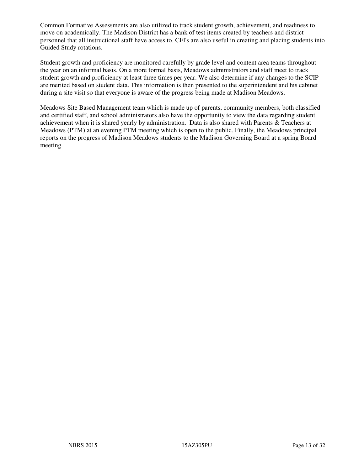Common Formative Assessments are also utilized to track student growth, achievement, and readiness to move on academically. The Madison District has a bank of test items created by teachers and district personnel that all instructional staff have access to. CFI's are also useful in creating and placing students into Guided Study rotations.

Student growth and proficiency are monitored carefully by grade level and content area teams throughout the year on an informal basis. On a more formal basis, Meadows administrators and staff meet to track student growth and proficiency at least three times per year. We also determine if any changes to the SCIP are merited based on student data. This information is then presented to the superintendent and his cabinet during a site visit so that everyone is aware of the progress being made at Madison Meadows.

Meadows Site Based Management team which is made up of parents, community members, both classified and certified staff, and school administrators also have the opportunity to view the data regarding student achievement when it is shared yearly by administration. Data is also shared with Parents & Teachers at Meadows (PTM) at an evening PTM meeting which is open to the public. Finally, the Meadows principal reports on the progress of Madison Meadows students to the Madison Governing Board at a spring Board meeting.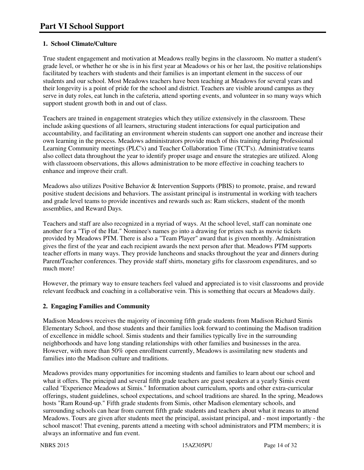#### **1. School Climate/Culture**

True student engagement and motivation at Meadows really begins in the classroom. No matter a student's grade level, or whether he or she is in his first year at Meadows or his or her last, the positive relationships facilitated by teachers with students and their families is an important element in the success of our students and our school. Most Meadows teachers have been teaching at Meadows for several years and their longevity is a point of pride for the school and district. Teachers are visible around campus as they serve in duty roles, eat lunch in the cafeteria, attend sporting events, and volunteer in so many ways which support student growth both in and out of class.

Teachers are trained in engagement strategies which they utilize extensively in the classroom. These include asking questions of all learners, structuring student interactions for equal participation and accountability, and facilitating an environment wherein students can support one another and increase their own learning in the process. Meadows administrators provide much of this training during Professional Learning Community meetings (PLC's) and Teacher Collaboration Time (TCT's). Administrative teams also collect data throughout the year to identify proper usage and ensure the strategies are utilized. Along with classroom observations, this allows administration to be more effective in coaching teachers to enhance and improve their craft.

Meadows also utilizes Positive Behavior & Intervention Supports (PBIS) to promote, praise, and reward positive student decisions and behaviors. The assistant principal is instrumental in working with teachers and grade level teams to provide incentives and rewards such as: Ram stickers, student of the month assemblies, and Reward Days.

Teachers and staff are also recognized in a myriad of ways. At the school level, staff can nominate one another for a "Tip of the Hat." Nominee's names go into a drawing for prizes such as movie tickets provided by Meadows PTM. There is also a "Team Player" award that is given monthly. Administration gives the first of the year and each recipient awards the next person after that. Meadows PTM supports teacher efforts in many ways. They provide luncheons and snacks throughout the year and dinners during Parent/Teacher conferences. They provide staff shirts, monetary gifts for classroom expenditures, and so much more!

However, the primary way to ensure teachers feel valued and appreciated is to visit classrooms and provide relevant feedback and coaching in a collaborative vein. This is something that occurs at Meadows daily.

#### **2. Engaging Families and Community**

Madison Meadows receives the majority of incoming fifth grade students from Madison Richard Simis Elementary School, and those students and their families look forward to continuing the Madison tradition of excellence in middle school. Simis students and their families typically live in the surrounding neighborhoods and have long standing relationships with other families and businesses in the area. However, with more than 50% open enrollment currently, Meadows is assimilating new students and families into the Madison culture and traditions.

Meadows provides many opportunities for incoming students and families to learn about our school and what it offers. The principal and several fifth grade teachers are guest speakers at a yearly Simis event called "Experience Meadows at Simis." Information about curriculum, sports and other extra-curricular offerings, student guidelines, school expectations, and school traditions are shared. In the spring, Meadows hosts "Ram Round-up." Fifth grade students from Simis, other Madison elementary schools, and surrounding schools can hear from current fifth grade students and teachers about what it means to attend Meadows. Tours are given after students meet the principal, assistant principal, and - most importantly - the school mascot! That evening, parents attend a meeting with school administrators and PTM members; it is always an informative and fun event.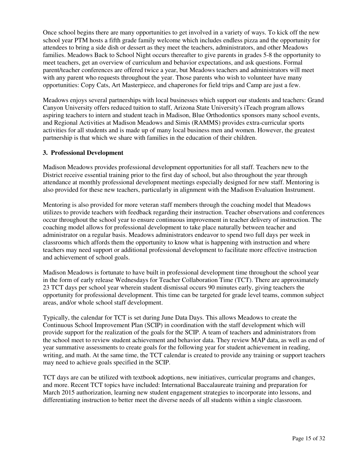Once school begins there are many opportunities to get involved in a variety of ways. To kick off the new school year PTM hosts a fifth grade family welcome which includes endless pizza and the opportunity for attendees to bring a side dish or dessert as they meet the teachers, administrators, and other Meadows families. Meadows Back to School Night occurs thereafter to give parents in grades 5-8 the opportunity to meet teachers, get an overview of curriculum and behavior expectations, and ask questions. Formal parent/teacher conferences are offered twice a year, but Meadows teachers and administrators will meet with any parent who requests throughout the year. Those parents who wish to volunteer have many opportunities: Copy Cats, Art Masterpiece, and chaperones for field trips and Camp are just a few.

Meadows enjoys several partnerships with local businesses which support our students and teachers: Grand Canyon University offers reduced tuition to staff, Arizona State University's iTeach program allows aspiring teachers to intern and student teach in Madison, Blue Orthodontics sponsors many school events, and Regional Activities at Madison Meadows and Simis (RAMMS) provides extra-curricular sports activities for all students and is made up of many local business men and women. However, the greatest partnership is that which we share with families in the education of their children.

#### **3. Professional Development**

Madison Meadows provides professional development opportunities for all staff. Teachers new to the District receive essential training prior to the first day of school, but also throughout the year through attendance at monthly professional development meetings especially designed for new staff. Mentoring is also provided for these new teachers, particularly in alignment with the Madison Evaluation Instrument.

Mentoring is also provided for more veteran staff members through the coaching model that Meadows utilizes to provide teachers with feedback regarding their instruction. Teacher observations and conferences occur throughout the school year to ensure continuous improvement in teacher delivery of instruction. The coaching model allows for professional development to take place naturally between teacher and administrator on a regular basis. Meadows administrators endeavor to spend two full days per week in classrooms which affords them the opportunity to know what is happening with instruction and where teachers may need support or additional professional development to facilitate more effective instruction and achievement of school goals.

Madison Meadows is fortunate to have built in professional development time throughout the school year in the form of early release Wednesdays for Teacher Collaboration Time (TCT). There are approximately 23 TCT days per school year wherein student dismissal occurs 90 minutes early, giving teachers the opportunity for professional development. This time can be targeted for grade level teams, common subject areas, and/or whole school staff development.

Typically, the calendar for TCT is set during June Data Days. This allows Meadows to create the Continuous School Improvement Plan (SCIP) in coordination with the staff development which will provide support for the realization of the goals for the SCIP. A team of teachers and administrators from the school meet to review student achievement and behavior data. They review MAP data, as well as end of year summative assessments to create goals for the following year for student achievement in reading, writing, and math. At the same time, the TCT calendar is created to provide any training or support teachers may need to achieve goals specified in the SCIP.

TCT days are can be utilized with textbook adoptions, new initiatives, curricular programs and changes, and more. Recent TCT topics have included: International Baccalaureate training and preparation for March 2015 authorization, learning new student engagement strategies to incorporate into lessons, and differentiating instruction to better meet the diverse needs of all students within a single classroom.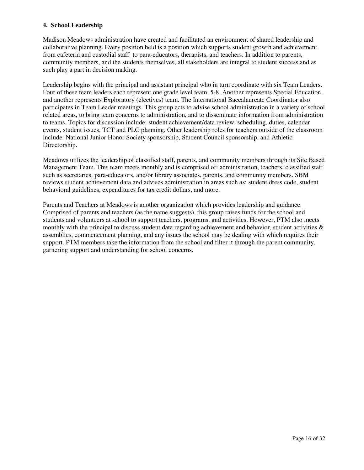#### **4. School Leadership**

Madison Meadows administration have created and facilitated an environment of shared leadership and collaborative planning. Every position held is a position which supports student growth and achievement from cafeteria and custodial staff to para-educators, therapists, and teachers. In addition to parents, community members, and the students themselves, all stakeholders are integral to student success and as such play a part in decision making.

Leadership begins with the principal and assistant principal who in turn coordinate with six Team Leaders. Four of these team leaders each represent one grade level team, 5-8. Another represents Special Education, and another represents Exploratory (electives) team. The International Baccalaureate Coordinator also participates in Team Leader meetings. This group acts to advise school administration in a variety of school related areas, to bring team concerns to administration, and to disseminate information from administration to teams. Topics for discussion include: student achievement/data review, scheduling, duties, calendar events, student issues, TCT and PLC planning. Other leadership roles for teachers outside of the classroom include: National Junior Honor Society sponsorship, Student Council sponsorship, and Athletic Directorship.

Meadows utilizes the leadership of classified staff, parents, and community members through its Site Based Management Team. This team meets monthly and is comprised of: administration, teachers, classified staff such as secretaries, para-educators, and/or library associates, parents, and community members. SBM reviews student achievement data and advises administration in areas such as: student dress code, student behavioral guidelines, expenditures for tax credit dollars, and more.

Parents and Teachers at Meadows is another organization which provides leadership and guidance. Comprised of parents and teachers (as the name suggests), this group raises funds for the school and students and volunteers at school to support teachers, programs, and activities. However, PTM also meets monthly with the principal to discuss student data regarding achievement and behavior, student activities  $\&$ assemblies, commencement planning, and any issues the school may be dealing with which requires their support. PTM members take the information from the school and filter it through the parent community, garnering support and understanding for school concerns.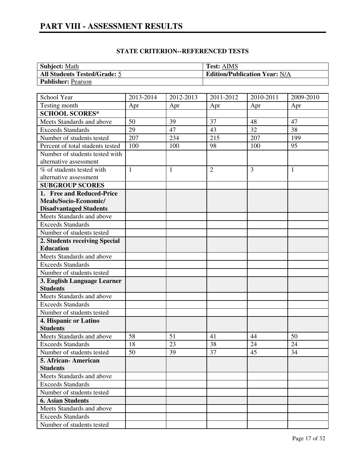### **PART VIII - ASSESSMENT RESULTS**

| <b>Subject: Math</b>                | <b>Test: AIMS</b>                    |
|-------------------------------------|--------------------------------------|
| <b>All Students Tested/Grade: 5</b> | <b>Edition/Publication Year: N/A</b> |
| <b>Publisher: Pearson</b>           |                                      |

| School Year                                    | 2013-2014    | 2012-2013    | 2011-2012      | 2010-2011 | 2009-2010    |
|------------------------------------------------|--------------|--------------|----------------|-----------|--------------|
| Testing month                                  | Apr          | Apr          | Apr            | Apr       | Apr          |
| <b>SCHOOL SCORES*</b>                          |              |              |                |           |              |
| Meets Standards and above                      | 50           | 39           | 37             | 48        | 47           |
| <b>Exceeds Standards</b>                       | 29           | 47           | 43             | 32        | 38           |
| Number of students tested                      | 207          | 234          | 215            | 207       | 199          |
| Percent of total students tested               | 100          | 100          | 98             | 100       | 95           |
| Number of students tested with                 |              |              |                |           |              |
| alternative assessment                         |              |              |                |           |              |
| % of students tested with                      | $\mathbf{1}$ | $\mathbf{1}$ | $\overline{2}$ | 3         | $\mathbf{1}$ |
| alternative assessment                         |              |              |                |           |              |
| <b>SUBGROUP SCORES</b>                         |              |              |                |           |              |
| 1. Free and Reduced-Price                      |              |              |                |           |              |
| Meals/Socio-Economic/                          |              |              |                |           |              |
| <b>Disadvantaged Students</b>                  |              |              |                |           |              |
| Meets Standards and above                      |              |              |                |           |              |
| <b>Exceeds Standards</b>                       |              |              |                |           |              |
| Number of students tested                      |              |              |                |           |              |
| 2. Students receiving Special                  |              |              |                |           |              |
| <b>Education</b>                               |              |              |                |           |              |
| Meets Standards and above                      |              |              |                |           |              |
| <b>Exceeds Standards</b>                       |              |              |                |           |              |
| Number of students tested                      |              |              |                |           |              |
| 3. English Language Learner<br><b>Students</b> |              |              |                |           |              |
| Meets Standards and above                      |              |              |                |           |              |
| <b>Exceeds Standards</b>                       |              |              |                |           |              |
| Number of students tested                      |              |              |                |           |              |
| 4. Hispanic or Latino                          |              |              |                |           |              |
| <b>Students</b>                                |              |              |                |           |              |
| Meets Standards and above                      | 58           | 51           | 41             | 44        | 50           |
| <b>Exceeds Standards</b>                       | 18           | 23           | 38             | 24        | 24           |
| Number of students tested                      | 50           | 39           | 37             | 45        | 34           |
| 5. African- American                           |              |              |                |           |              |
| <b>Students</b>                                |              |              |                |           |              |
| Meets Standards and above                      |              |              |                |           |              |
| <b>Exceeds Standards</b>                       |              |              |                |           |              |
| Number of students tested                      |              |              |                |           |              |
| <b>6. Asian Students</b>                       |              |              |                |           |              |
| Meets Standards and above                      |              |              |                |           |              |
| <b>Exceeds Standards</b>                       |              |              |                |           |              |
| Number of students tested                      |              |              |                |           |              |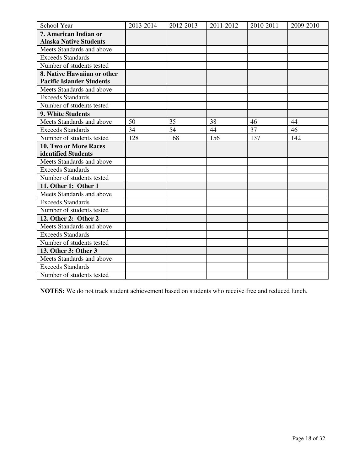| School Year                      | 2013-2014 | 2012-2013 | 2011-2012 | 2010-2011 | 2009-2010 |
|----------------------------------|-----------|-----------|-----------|-----------|-----------|
| 7. American Indian or            |           |           |           |           |           |
| <b>Alaska Native Students</b>    |           |           |           |           |           |
| Meets Standards and above        |           |           |           |           |           |
| <b>Exceeds Standards</b>         |           |           |           |           |           |
| Number of students tested        |           |           |           |           |           |
| 8. Native Hawaiian or other      |           |           |           |           |           |
| <b>Pacific Islander Students</b> |           |           |           |           |           |
| Meets Standards and above        |           |           |           |           |           |
| <b>Exceeds Standards</b>         |           |           |           |           |           |
| Number of students tested        |           |           |           |           |           |
| 9. White Students                |           |           |           |           |           |
| Meets Standards and above        | 50        | 35        | 38        | 46        | 44        |
| <b>Exceeds Standards</b>         | 34        | 54        | 44        | 37        | 46        |
| Number of students tested        | 128       | 168       | 156       | 137       | 142       |
| 10. Two or More Races            |           |           |           |           |           |
| identified Students              |           |           |           |           |           |
| Meets Standards and above        |           |           |           |           |           |
| <b>Exceeds Standards</b>         |           |           |           |           |           |
| Number of students tested        |           |           |           |           |           |
| 11. Other 1: Other 1             |           |           |           |           |           |
| Meets Standards and above        |           |           |           |           |           |
| <b>Exceeds Standards</b>         |           |           |           |           |           |
| Number of students tested        |           |           |           |           |           |
| 12. Other 2: Other 2             |           |           |           |           |           |
| Meets Standards and above        |           |           |           |           |           |
| <b>Exceeds Standards</b>         |           |           |           |           |           |
| Number of students tested        |           |           |           |           |           |
| 13. Other 3: Other 3             |           |           |           |           |           |
| Meets Standards and above        |           |           |           |           |           |
| <b>Exceeds Standards</b>         |           |           |           |           |           |
| Number of students tested        |           |           |           |           |           |

**NOTES:** We do not track student achievement based on students who receive free and reduced lunch.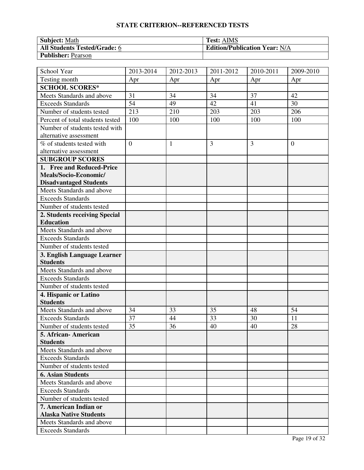| <b>Subject: Math</b>         | <b>Test: AIMS</b>                    |
|------------------------------|--------------------------------------|
| All Students Tested/Grade: 6 | <b>Edition/Publication Year: N/A</b> |
| <b>Publisher: Pearson</b>    |                                      |

| School Year                      | 2013-2014      | 2012-2013    | 2011-2012 | 2010-2011 | 2009-2010    |
|----------------------------------|----------------|--------------|-----------|-----------|--------------|
| Testing month                    | Apr            | Apr          | Apr       | Apr       | Apr          |
| <b>SCHOOL SCORES*</b>            |                |              |           |           |              |
| Meets Standards and above        | 31             | 34           | 34        | 37        | 42           |
| <b>Exceeds Standards</b>         | 54             | 49           | 42        | 41        | 30           |
| Number of students tested        | 213            | 210          | 203       | 203       | 206          |
| Percent of total students tested | 100            | 100          | 100       | 100       | 100          |
| Number of students tested with   |                |              |           |           |              |
| alternative assessment           |                |              |           |           |              |
| % of students tested with        | $\overline{0}$ | $\mathbf{1}$ | 3         | 3         | $\mathbf{0}$ |
| alternative assessment           |                |              |           |           |              |
| <b>SUBGROUP SCORES</b>           |                |              |           |           |              |
| 1. Free and Reduced-Price        |                |              |           |           |              |
| Meals/Socio-Economic/            |                |              |           |           |              |
| <b>Disadvantaged Students</b>    |                |              |           |           |              |
| Meets Standards and above        |                |              |           |           |              |
| <b>Exceeds Standards</b>         |                |              |           |           |              |
| Number of students tested        |                |              |           |           |              |
| 2. Students receiving Special    |                |              |           |           |              |
| <b>Education</b>                 |                |              |           |           |              |
| Meets Standards and above        |                |              |           |           |              |
| <b>Exceeds Standards</b>         |                |              |           |           |              |
| Number of students tested        |                |              |           |           |              |
| 3. English Language Learner      |                |              |           |           |              |
| <b>Students</b>                  |                |              |           |           |              |
| Meets Standards and above        |                |              |           |           |              |
| <b>Exceeds Standards</b>         |                |              |           |           |              |
| Number of students tested        |                |              |           |           |              |
| 4. Hispanic or Latino            |                |              |           |           |              |
| <b>Students</b>                  |                |              |           |           |              |
| Meets Standards and above        | 34             | 33           | 35        | 48        | 54           |
| <b>Exceeds Standards</b>         | 37             | 44           | 33        | 30        | 11           |
| Number of students tested        | 35             | 36           | 40        | 40        | 28           |
| 5. African-American              |                |              |           |           |              |
| <b>Students</b>                  |                |              |           |           |              |
| Meets Standards and above        |                |              |           |           |              |
| <b>Exceeds Standards</b>         |                |              |           |           |              |
| Number of students tested        |                |              |           |           |              |
| <b>6. Asian Students</b>         |                |              |           |           |              |
| Meets Standards and above        |                |              |           |           |              |
| <b>Exceeds Standards</b>         |                |              |           |           |              |
| Number of students tested        |                |              |           |           |              |
| 7. American Indian or            |                |              |           |           |              |
| <b>Alaska Native Students</b>    |                |              |           |           |              |
| Meets Standards and above        |                |              |           |           |              |
| <b>Exceeds Standards</b>         |                |              |           |           |              |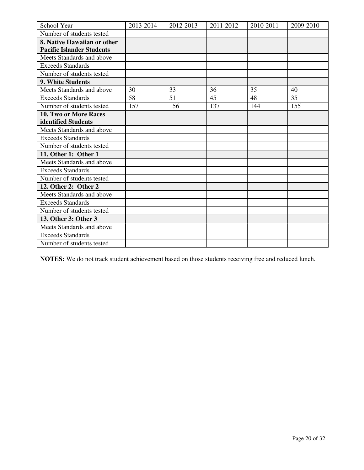| School Year                      | 2013-2014 | 2012-2013 | 2011-2012 | 2010-2011 | 2009-2010 |
|----------------------------------|-----------|-----------|-----------|-----------|-----------|
| Number of students tested        |           |           |           |           |           |
| 8. Native Hawaiian or other      |           |           |           |           |           |
| <b>Pacific Islander Students</b> |           |           |           |           |           |
| Meets Standards and above        |           |           |           |           |           |
| <b>Exceeds Standards</b>         |           |           |           |           |           |
| Number of students tested        |           |           |           |           |           |
| <b>9. White Students</b>         |           |           |           |           |           |
| Meets Standards and above        | 30        | 33        | 36        | 35        | 40        |
| <b>Exceeds Standards</b>         | 58        | 51        | 45        | 48        | 35        |
| Number of students tested        | 157       | 156       | 137       | 144       | 155       |
| 10. Two or More Races            |           |           |           |           |           |
| identified Students              |           |           |           |           |           |
| Meets Standards and above        |           |           |           |           |           |
| <b>Exceeds Standards</b>         |           |           |           |           |           |
| Number of students tested        |           |           |           |           |           |
| 11. Other 1: Other 1             |           |           |           |           |           |
| Meets Standards and above        |           |           |           |           |           |
| <b>Exceeds Standards</b>         |           |           |           |           |           |
| Number of students tested        |           |           |           |           |           |
| 12. Other 2: Other 2             |           |           |           |           |           |
| Meets Standards and above        |           |           |           |           |           |
| <b>Exceeds Standards</b>         |           |           |           |           |           |
| Number of students tested        |           |           |           |           |           |
| 13. Other 3: Other 3             |           |           |           |           |           |
| Meets Standards and above        |           |           |           |           |           |
| <b>Exceeds Standards</b>         |           |           |           |           |           |
| Number of students tested        |           |           |           |           |           |

**NOTES:** We do not track student achievement based on those students receiving free and reduced lunch.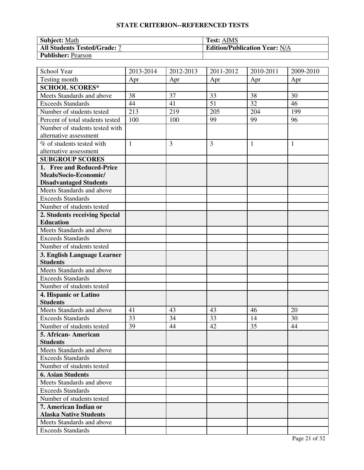| <b>Subject: Math</b>                | <b>Test: AIMS</b>                    |
|-------------------------------------|--------------------------------------|
| <b>All Students Tested/Grade: 7</b> | <b>Edition/Publication Year: N/A</b> |
| <b>Publisher: Pearson</b>           |                                      |

| School Year                      | 2013-2014    | 2012-2013 | 2011-2012      | 2010-2011    | 2009-2010    |
|----------------------------------|--------------|-----------|----------------|--------------|--------------|
| Testing month                    | Apr          | Apr       | Apr            | Apr          | Apr          |
| <b>SCHOOL SCORES*</b>            |              |           |                |              |              |
| Meets Standards and above        | 38           | 37        | 33             | 38           | 30           |
| <b>Exceeds Standards</b>         | 44           | 41        | 51             | 32           | 46           |
| Number of students tested        | 213          | 219       | 205            | 204          | 199          |
| Percent of total students tested | 100          | 100       | 99             | 99           | 96           |
| Number of students tested with   |              |           |                |              |              |
| alternative assessment           |              |           |                |              |              |
| % of students tested with        | $\mathbf{1}$ | 3         | $\overline{3}$ | $\mathbf{1}$ | $\mathbf{1}$ |
| alternative assessment           |              |           |                |              |              |
| <b>SUBGROUP SCORES</b>           |              |           |                |              |              |
| 1. Free and Reduced-Price        |              |           |                |              |              |
| Meals/Socio-Economic/            |              |           |                |              |              |
| <b>Disadvantaged Students</b>    |              |           |                |              |              |
| Meets Standards and above        |              |           |                |              |              |
| <b>Exceeds Standards</b>         |              |           |                |              |              |
| Number of students tested        |              |           |                |              |              |
| 2. Students receiving Special    |              |           |                |              |              |
| <b>Education</b>                 |              |           |                |              |              |
| Meets Standards and above        |              |           |                |              |              |
| <b>Exceeds Standards</b>         |              |           |                |              |              |
| Number of students tested        |              |           |                |              |              |
| 3. English Language Learner      |              |           |                |              |              |
| <b>Students</b>                  |              |           |                |              |              |
| Meets Standards and above        |              |           |                |              |              |
| <b>Exceeds Standards</b>         |              |           |                |              |              |
| Number of students tested        |              |           |                |              |              |
| 4. Hispanic or Latino            |              |           |                |              |              |
| <b>Students</b>                  |              |           |                |              |              |
| Meets Standards and above        | 41           | 43        | 43             | 46           | 20           |
| <b>Exceeds Standards</b>         | 33           | 34        | 33             | 14           | 30           |
| Number of students tested        | 39           | 44        | 42             | 35           | 44           |
| 5. African- American             |              |           |                |              |              |
| <b>Students</b>                  |              |           |                |              |              |
| Meets Standards and above        |              |           |                |              |              |
| <b>Exceeds Standards</b>         |              |           |                |              |              |
| Number of students tested        |              |           |                |              |              |
| <b>6. Asian Students</b>         |              |           |                |              |              |
| Meets Standards and above        |              |           |                |              |              |
| <b>Exceeds Standards</b>         |              |           |                |              |              |
| Number of students tested        |              |           |                |              |              |
| 7. American Indian or            |              |           |                |              |              |
| <b>Alaska Native Students</b>    |              |           |                |              |              |
| Meets Standards and above        |              |           |                |              |              |
| <b>Exceeds Standards</b>         |              |           |                |              |              |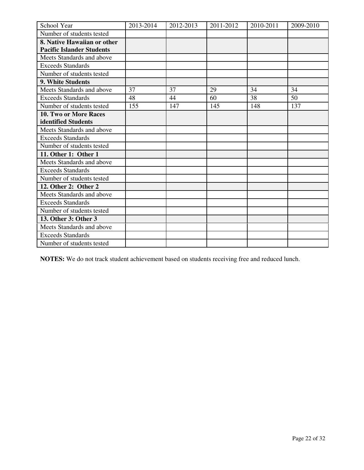| School Year                      | 2013-2014 | 2012-2013 | 2011-2012 | 2010-2011 | 2009-2010 |
|----------------------------------|-----------|-----------|-----------|-----------|-----------|
| Number of students tested        |           |           |           |           |           |
| 8. Native Hawaiian or other      |           |           |           |           |           |
| <b>Pacific Islander Students</b> |           |           |           |           |           |
| Meets Standards and above        |           |           |           |           |           |
| <b>Exceeds Standards</b>         |           |           |           |           |           |
| Number of students tested        |           |           |           |           |           |
| 9. White Students                |           |           |           |           |           |
| Meets Standards and above        | 37        | 37        | 29        | 34        | 34        |
| <b>Exceeds Standards</b>         | 48        | 44        | 60        | 38        | 50        |
| Number of students tested        | 155       | 147       | 145       | 148       | 137       |
| 10. Two or More Races            |           |           |           |           |           |
| identified Students              |           |           |           |           |           |
| Meets Standards and above        |           |           |           |           |           |
| <b>Exceeds Standards</b>         |           |           |           |           |           |
| Number of students tested        |           |           |           |           |           |
| 11. Other 1: Other 1             |           |           |           |           |           |
| Meets Standards and above        |           |           |           |           |           |
| <b>Exceeds Standards</b>         |           |           |           |           |           |
| Number of students tested        |           |           |           |           |           |
| 12. Other 2: Other 2             |           |           |           |           |           |
| Meets Standards and above        |           |           |           |           |           |
| <b>Exceeds Standards</b>         |           |           |           |           |           |
| Number of students tested        |           |           |           |           |           |
| 13. Other 3: Other 3             |           |           |           |           |           |
| Meets Standards and above        |           |           |           |           |           |
| <b>Exceeds Standards</b>         |           |           |           |           |           |
| Number of students tested        |           |           |           |           |           |

**NOTES:** We do not track student achievement based on students receiving free and reduced lunch.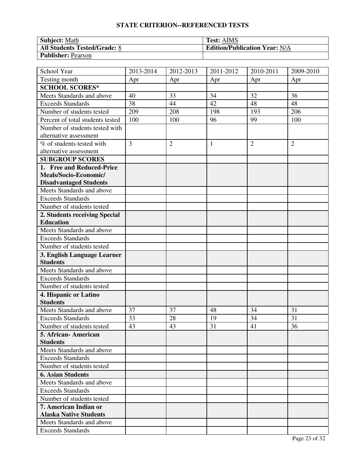| <b>Subject: Math</b>                | <b>Test: AIMS</b>                    |
|-------------------------------------|--------------------------------------|
| <b>All Students Tested/Grade: 8</b> | <b>Edition/Publication Year: N/A</b> |
| <b>Publisher: Pearson</b>           |                                      |

| School Year                      | 2013-2014      | 2012-2013      | 2011-2012    | 2010-2011      | 2009-2010      |
|----------------------------------|----------------|----------------|--------------|----------------|----------------|
| Testing month                    | Apr            | Apr            | Apr          | Apr            | Apr            |
| <b>SCHOOL SCORES*</b>            |                |                |              |                |                |
| Meets Standards and above        | 40             | 33             | 34           | 32             | 36             |
| <b>Exceeds Standards</b>         | 38             | 44             | 42           | 48             | 48             |
| Number of students tested        | 209            | 208            | 198          | 193            | 206            |
| Percent of total students tested | 100            | 100            | 96           | 99             | 100            |
| Number of students tested with   |                |                |              |                |                |
| alternative assessment           |                |                |              |                |                |
| % of students tested with        | $\overline{3}$ | $\overline{2}$ | $\mathbf{1}$ | $\overline{2}$ | $\overline{2}$ |
| alternative assessment           |                |                |              |                |                |
| <b>SUBGROUP SCORES</b>           |                |                |              |                |                |
| 1. Free and Reduced-Price        |                |                |              |                |                |
| Meals/Socio-Economic/            |                |                |              |                |                |
| <b>Disadvantaged Students</b>    |                |                |              |                |                |
| Meets Standards and above        |                |                |              |                |                |
| <b>Exceeds Standards</b>         |                |                |              |                |                |
| Number of students tested        |                |                |              |                |                |
| 2. Students receiving Special    |                |                |              |                |                |
| <b>Education</b>                 |                |                |              |                |                |
| Meets Standards and above        |                |                |              |                |                |
| <b>Exceeds Standards</b>         |                |                |              |                |                |
| Number of students tested        |                |                |              |                |                |
| 3. English Language Learner      |                |                |              |                |                |
| <b>Students</b>                  |                |                |              |                |                |
| Meets Standards and above        |                |                |              |                |                |
| <b>Exceeds Standards</b>         |                |                |              |                |                |
| Number of students tested        |                |                |              |                |                |
| 4. Hispanic or Latino            |                |                |              |                |                |
| <b>Students</b>                  |                |                |              |                |                |
| Meets Standards and above        | 37             | 37             | 48           | 34             | 31             |
| <b>Exceeds Standards</b>         | 33             | 28             | 19           | 34             | 31             |
| Number of students tested        | 43             | 43             | 31           | 41             | 36             |
| 5. African- American             |                |                |              |                |                |
| <b>Students</b>                  |                |                |              |                |                |
| Meets Standards and above        |                |                |              |                |                |
| <b>Exceeds Standards</b>         |                |                |              |                |                |
| Number of students tested        |                |                |              |                |                |
| <b>6. Asian Students</b>         |                |                |              |                |                |
| Meets Standards and above        |                |                |              |                |                |
| <b>Exceeds Standards</b>         |                |                |              |                |                |
| Number of students tested        |                |                |              |                |                |
| 7. American Indian or            |                |                |              |                |                |
| <b>Alaska Native Students</b>    |                |                |              |                |                |
| Meets Standards and above        |                |                |              |                |                |
| <b>Exceeds Standards</b>         |                |                |              |                |                |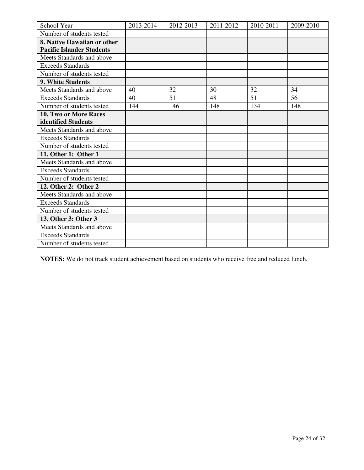| School Year                      | 2013-2014 | 2012-2013 | 2011-2012 | 2010-2011 | 2009-2010 |
|----------------------------------|-----------|-----------|-----------|-----------|-----------|
| Number of students tested        |           |           |           |           |           |
| 8. Native Hawaiian or other      |           |           |           |           |           |
| <b>Pacific Islander Students</b> |           |           |           |           |           |
| Meets Standards and above        |           |           |           |           |           |
| <b>Exceeds Standards</b>         |           |           |           |           |           |
| Number of students tested        |           |           |           |           |           |
| <b>9. White Students</b>         |           |           |           |           |           |
| Meets Standards and above        | 40        | 32        | 30        | 32        | 34        |
| <b>Exceeds Standards</b>         | 40        | 51        | 48        | 51        | 56        |
| Number of students tested        | 144       | 146       | 148       | 134       | 148       |
| 10. Two or More Races            |           |           |           |           |           |
| identified Students              |           |           |           |           |           |
| Meets Standards and above        |           |           |           |           |           |
| <b>Exceeds Standards</b>         |           |           |           |           |           |
| Number of students tested        |           |           |           |           |           |
| 11. Other 1: Other 1             |           |           |           |           |           |
| Meets Standards and above        |           |           |           |           |           |
| <b>Exceeds Standards</b>         |           |           |           |           |           |
| Number of students tested        |           |           |           |           |           |
| 12. Other 2: Other 2             |           |           |           |           |           |
| Meets Standards and above        |           |           |           |           |           |
| <b>Exceeds Standards</b>         |           |           |           |           |           |
| Number of students tested        |           |           |           |           |           |
| 13. Other 3: Other 3             |           |           |           |           |           |
| Meets Standards and above        |           |           |           |           |           |
| <b>Exceeds Standards</b>         |           |           |           |           |           |
| Number of students tested        |           |           |           |           |           |

**NOTES:** We do not track student achievement based on students who receive free and reduced lunch.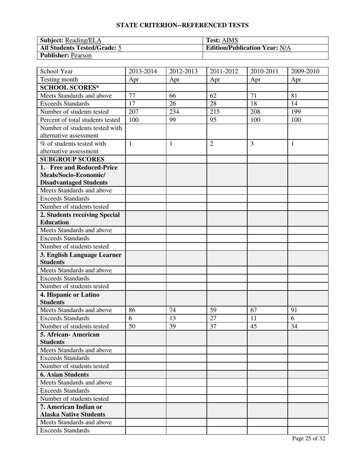| <b>Subject:</b> Reading/ELA         | <b>Test: AIMS</b>                    |
|-------------------------------------|--------------------------------------|
| <b>All Students Tested/Grade: 5</b> | <b>Edition/Publication Year: N/A</b> |
| <b>Publisher: Pearson</b>           |                                      |

| School Year                                           | 2013-2014    | 2012-2013    | 2011-2012      | 2010-2011 | 2009-2010    |
|-------------------------------------------------------|--------------|--------------|----------------|-----------|--------------|
| Testing month                                         | Apr          | Apr          | Apr            | Apr       | Apr          |
| <b>SCHOOL SCORES*</b>                                 |              |              |                |           |              |
| Meets Standards and above                             | 77           | 66           | 62             | 71        | 81           |
| <b>Exceeds Standards</b>                              | 17           | 26           | 28             | 18        | 14           |
| Number of students tested                             | 207          | 234          | 215            | 208       | 199          |
| Percent of total students tested                      | 100          | 99           | 95             | 100       | 100          |
| Number of students tested with                        |              |              |                |           |              |
| alternative assessment                                |              |              |                |           |              |
| % of students tested with                             | $\mathbf{1}$ | $\mathbf{1}$ | $\overline{2}$ | 3         | $\mathbf{1}$ |
| alternative assessment                                |              |              |                |           |              |
| <b>SUBGROUP SCORES</b>                                |              |              |                |           |              |
| 1. Free and Reduced-Price                             |              |              |                |           |              |
| Meals/Socio-Economic/                                 |              |              |                |           |              |
| <b>Disadvantaged Students</b>                         |              |              |                |           |              |
| Meets Standards and above                             |              |              |                |           |              |
| <b>Exceeds Standards</b>                              |              |              |                |           |              |
| Number of students tested                             |              |              |                |           |              |
| 2. Students receiving Special                         |              |              |                |           |              |
| <b>Education</b>                                      |              |              |                |           |              |
| Meets Standards and above                             |              |              |                |           |              |
| <b>Exceeds Standards</b>                              |              |              |                |           |              |
| Number of students tested                             |              |              |                |           |              |
| 3. English Language Learner                           |              |              |                |           |              |
| <b>Students</b>                                       |              |              |                |           |              |
| Meets Standards and above                             |              |              |                |           |              |
| <b>Exceeds Standards</b>                              |              |              |                |           |              |
| Number of students tested                             |              |              |                |           |              |
| 4. Hispanic or Latino                                 |              |              |                |           |              |
| <b>Students</b>                                       |              |              |                |           |              |
| Meets Standards and above                             | 86           | 74           | 59             | 67        | 91           |
| <b>Exceeds Standards</b>                              | 6            | 13           | 27             | 11        | 6            |
| Number of students tested                             | 50           | 39           | 37             | 45        | 34           |
| 5. African - American                                 |              |              |                |           |              |
| <b>Students</b>                                       |              |              |                |           |              |
| Meets Standards and above<br><b>Exceeds Standards</b> |              |              |                |           |              |
| Number of students tested                             |              |              |                |           |              |
| <b>6. Asian Students</b>                              |              |              |                |           |              |
|                                                       |              |              |                |           |              |
| Meets Standards and above                             |              |              |                |           |              |
| <b>Exceeds Standards</b><br>Number of students tested |              |              |                |           |              |
| 7. American Indian or                                 |              |              |                |           |              |
| <b>Alaska Native Students</b>                         |              |              |                |           |              |
| Meets Standards and above                             |              |              |                |           |              |
|                                                       |              |              |                |           |              |
| <b>Exceeds Standards</b>                              |              |              |                |           |              |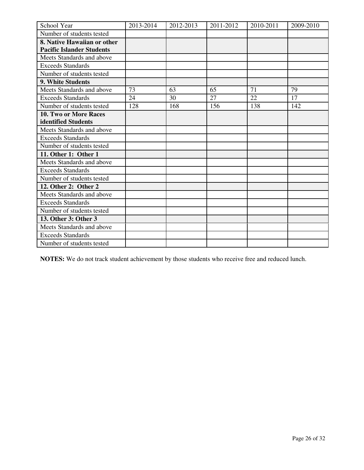| School Year                      | 2013-2014 | 2012-2013 | 2011-2012 | 2010-2011 | 2009-2010 |
|----------------------------------|-----------|-----------|-----------|-----------|-----------|
| Number of students tested        |           |           |           |           |           |
| 8. Native Hawaiian or other      |           |           |           |           |           |
| <b>Pacific Islander Students</b> |           |           |           |           |           |
| Meets Standards and above        |           |           |           |           |           |
| <b>Exceeds Standards</b>         |           |           |           |           |           |
| Number of students tested        |           |           |           |           |           |
| 9. White Students                |           |           |           |           |           |
| Meets Standards and above        | 73        | 63        | 65        | 71        | 79        |
| <b>Exceeds Standards</b>         | 24        | 30        | 27        | 22        | 17        |
| Number of students tested        | 128       | 168       | 156       | 138       | 142       |
| 10. Two or More Races            |           |           |           |           |           |
| identified Students              |           |           |           |           |           |
| Meets Standards and above        |           |           |           |           |           |
| <b>Exceeds Standards</b>         |           |           |           |           |           |
| Number of students tested        |           |           |           |           |           |
| 11. Other 1: Other 1             |           |           |           |           |           |
| Meets Standards and above        |           |           |           |           |           |
| <b>Exceeds Standards</b>         |           |           |           |           |           |
| Number of students tested        |           |           |           |           |           |
| 12. Other 2: Other 2             |           |           |           |           |           |
| Meets Standards and above        |           |           |           |           |           |
| <b>Exceeds Standards</b>         |           |           |           |           |           |
| Number of students tested        |           |           |           |           |           |
| 13. Other 3: Other 3             |           |           |           |           |           |
| Meets Standards and above        |           |           |           |           |           |
| <b>Exceeds Standards</b>         |           |           |           |           |           |
| Number of students tested        |           |           |           |           |           |

**NOTES:** We do not track student achievement by those students who receive free and reduced lunch.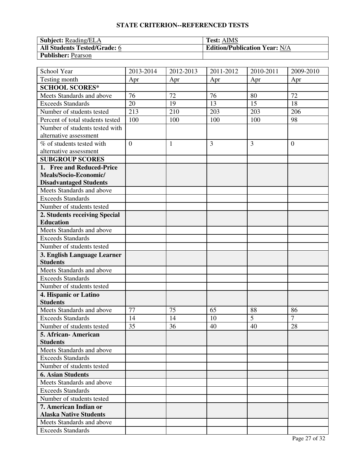| <b>Subject:</b> Reading/ELA         | <b>Test: AIMS</b>                    |
|-------------------------------------|--------------------------------------|
| <b>All Students Tested/Grade: 6</b> | <b>Edition/Publication Year: N/A</b> |
| <b>Publisher: Pearson</b>           |                                      |

| School Year                      | 2013-2014      | 2012-2013 | 2011-2012 | $\overline{20}10 - 2011$ | 2009-2010      |
|----------------------------------|----------------|-----------|-----------|--------------------------|----------------|
| Testing month                    | Apr            | Apr       | Apr       | Apr                      | Apr            |
| <b>SCHOOL SCORES*</b>            |                |           |           |                          |                |
| Meets Standards and above        | 76             | 72        | 76        | 80                       | 72             |
| <b>Exceeds Standards</b>         | 20             | 19        | 13        | 15                       | 18             |
| Number of students tested        | 213            | 210       | 203       | 203                      | 206            |
| Percent of total students tested | 100            | 100       | 100       | 100                      | 98             |
| Number of students tested with   |                |           |           |                          |                |
| alternative assessment           |                |           |           |                          |                |
| % of students tested with        | $\overline{0}$ | 1         | 3         | 3                        | $\overline{0}$ |
| alternative assessment           |                |           |           |                          |                |
| <b>SUBGROUP SCORES</b>           |                |           |           |                          |                |
| 1. Free and Reduced-Price        |                |           |           |                          |                |
| Meals/Socio-Economic/            |                |           |           |                          |                |
| <b>Disadvantaged Students</b>    |                |           |           |                          |                |
| Meets Standards and above        |                |           |           |                          |                |
| <b>Exceeds Standards</b>         |                |           |           |                          |                |
| Number of students tested        |                |           |           |                          |                |
| 2. Students receiving Special    |                |           |           |                          |                |
| <b>Education</b>                 |                |           |           |                          |                |
| Meets Standards and above        |                |           |           |                          |                |
| <b>Exceeds Standards</b>         |                |           |           |                          |                |
| Number of students tested        |                |           |           |                          |                |
| 3. English Language Learner      |                |           |           |                          |                |
| <b>Students</b>                  |                |           |           |                          |                |
| Meets Standards and above        |                |           |           |                          |                |
| <b>Exceeds Standards</b>         |                |           |           |                          |                |
| Number of students tested        |                |           |           |                          |                |
| 4. Hispanic or Latino            |                |           |           |                          |                |
| <b>Students</b>                  |                |           |           |                          |                |
| Meets Standards and above        | 77             | 75        | 65        | 88                       | 86             |
| <b>Exceeds Standards</b>         | 14             | 14        | 10        | 5                        | $\overline{7}$ |
| Number of students tested        | 35             | 36        | 40        | 40                       | 28             |
| 5. African- American             |                |           |           |                          |                |
| <b>Students</b>                  |                |           |           |                          |                |
| Meets Standards and above        |                |           |           |                          |                |
| <b>Exceeds Standards</b>         |                |           |           |                          |                |
| Number of students tested        |                |           |           |                          |                |
| <b>6. Asian Students</b>         |                |           |           |                          |                |
| Meets Standards and above        |                |           |           |                          |                |
| <b>Exceeds Standards</b>         |                |           |           |                          |                |
| Number of students tested        |                |           |           |                          |                |
| 7. American Indian or            |                |           |           |                          |                |
| <b>Alaska Native Students</b>    |                |           |           |                          |                |
| Meets Standards and above        |                |           |           |                          |                |
| <b>Exceeds Standards</b>         |                |           |           |                          |                |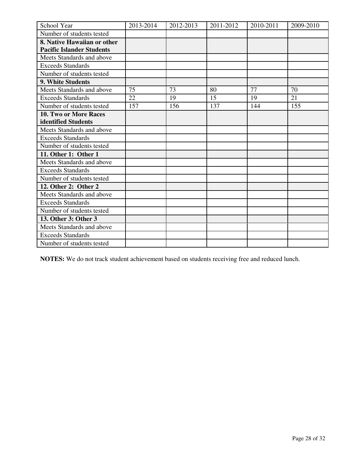| School Year                      | 2013-2014 | 2012-2013 | 2011-2012 | 2010-2011 | 2009-2010 |
|----------------------------------|-----------|-----------|-----------|-----------|-----------|
| Number of students tested        |           |           |           |           |           |
| 8. Native Hawaiian or other      |           |           |           |           |           |
| <b>Pacific Islander Students</b> |           |           |           |           |           |
| Meets Standards and above        |           |           |           |           |           |
| <b>Exceeds Standards</b>         |           |           |           |           |           |
| Number of students tested        |           |           |           |           |           |
| <b>9. White Students</b>         |           |           |           |           |           |
| Meets Standards and above        | 75        | 73        | 80        | 77        | 70        |
| <b>Exceeds Standards</b>         | 22        | 19        | 15        | 19        | 21        |
| Number of students tested        | 157       | 156       | 137       | 144       | 155       |
| 10. Two or More Races            |           |           |           |           |           |
| identified Students              |           |           |           |           |           |
| Meets Standards and above        |           |           |           |           |           |
| <b>Exceeds Standards</b>         |           |           |           |           |           |
| Number of students tested        |           |           |           |           |           |
| 11. Other 1: Other 1             |           |           |           |           |           |
| Meets Standards and above        |           |           |           |           |           |
| <b>Exceeds Standards</b>         |           |           |           |           |           |
| Number of students tested        |           |           |           |           |           |
| 12. Other 2: Other 2             |           |           |           |           |           |
| Meets Standards and above        |           |           |           |           |           |
| <b>Exceeds Standards</b>         |           |           |           |           |           |
| Number of students tested        |           |           |           |           |           |
| 13. Other 3: Other 3             |           |           |           |           |           |
| Meets Standards and above        |           |           |           |           |           |
| <b>Exceeds Standards</b>         |           |           |           |           |           |
| Number of students tested        |           |           |           |           |           |

**NOTES:** We do not track student achievement based on students receiving free and reduced lunch.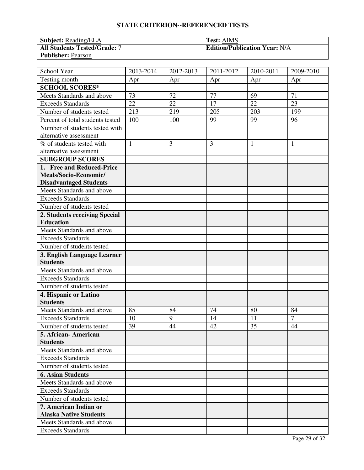| <b>Subject:</b> Reading/ELA  | <b>Test: AIMS</b>                    |
|------------------------------|--------------------------------------|
| All Students Tested/Grade: 7 | <b>Edition/Publication Year: N/A</b> |
| <b>Publisher: Pearson</b>    |                                      |

| School Year                              | 2013-2014    | 2012-2013 | 2011-2012 | 2010-2011    | 2009-2010      |
|------------------------------------------|--------------|-----------|-----------|--------------|----------------|
| Testing month                            | Apr          | Apr       | Apr       | Apr          | Apr            |
| <b>SCHOOL SCORES*</b>                    |              |           |           |              |                |
| Meets Standards and above                | 73           | 72        | 77        | 69           | 71             |
| <b>Exceeds Standards</b>                 | 22           | 22        | 17        | 22           | 23             |
| Number of students tested                | 213          | 219       | 205       | 203          | 199            |
| Percent of total students tested         | 100          | 100       | 99        | 99           | 96             |
| Number of students tested with           |              |           |           |              |                |
| alternative assessment                   |              |           |           |              |                |
| % of students tested with                | $\mathbf{1}$ | 3         | 3         | $\mathbf{1}$ | $\mathbf{1}$   |
| alternative assessment                   |              |           |           |              |                |
| <b>SUBGROUP SCORES</b>                   |              |           |           |              |                |
| 1. Free and Reduced-Price                |              |           |           |              |                |
| Meals/Socio-Economic/                    |              |           |           |              |                |
| <b>Disadvantaged Students</b>            |              |           |           |              |                |
| Meets Standards and above                |              |           |           |              |                |
| <b>Exceeds Standards</b>                 |              |           |           |              |                |
| Number of students tested                |              |           |           |              |                |
| 2. Students receiving Special            |              |           |           |              |                |
| <b>Education</b>                         |              |           |           |              |                |
| Meets Standards and above                |              |           |           |              |                |
| <b>Exceeds Standards</b>                 |              |           |           |              |                |
| Number of students tested                |              |           |           |              |                |
| 3. English Language Learner              |              |           |           |              |                |
| <b>Students</b>                          |              |           |           |              |                |
| Meets Standards and above                |              |           |           |              |                |
| <b>Exceeds Standards</b>                 |              |           |           |              |                |
| Number of students tested                |              |           |           |              |                |
| 4. Hispanic or Latino<br><b>Students</b> |              |           |           |              |                |
| Meets Standards and above                | 85           | 84        | 74        | 80           | 84             |
| <b>Exceeds Standards</b>                 | 10           | 9         | 14        | 11           | $\overline{7}$ |
| Number of students tested                | 39           | 44        | 42        | 35           | 44             |
| 5. African - American                    |              |           |           |              |                |
| <b>Students</b>                          |              |           |           |              |                |
| Meets Standards and above                |              |           |           |              |                |
| <b>Exceeds Standards</b>                 |              |           |           |              |                |
| Number of students tested                |              |           |           |              |                |
| <b>6. Asian Students</b>                 |              |           |           |              |                |
| Meets Standards and above                |              |           |           |              |                |
| <b>Exceeds Standards</b>                 |              |           |           |              |                |
| Number of students tested                |              |           |           |              |                |
| 7. American Indian or                    |              |           |           |              |                |
| <b>Alaska Native Students</b>            |              |           |           |              |                |
| Meets Standards and above                |              |           |           |              |                |
| <b>Exceeds Standards</b>                 |              |           |           |              |                |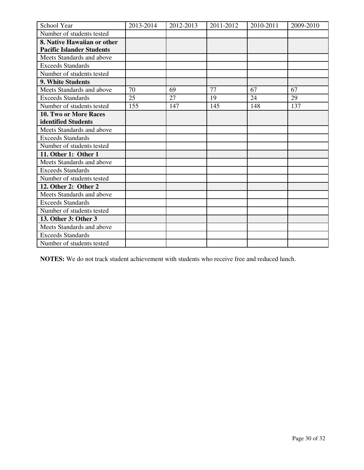| School Year                      | 2013-2014 | 2012-2013 | 2011-2012 | 2010-2011 | 2009-2010 |
|----------------------------------|-----------|-----------|-----------|-----------|-----------|
| Number of students tested        |           |           |           |           |           |
| 8. Native Hawaiian or other      |           |           |           |           |           |
| <b>Pacific Islander Students</b> |           |           |           |           |           |
| Meets Standards and above        |           |           |           |           |           |
| <b>Exceeds Standards</b>         |           |           |           |           |           |
| Number of students tested        |           |           |           |           |           |
| 9. White Students                |           |           |           |           |           |
| Meets Standards and above        | 70        | 69        | 77        | 67        | 67        |
| <b>Exceeds Standards</b>         | 25        | 27        | 19        | 24        | 29        |
| Number of students tested        | 155       | 147       | 145       | 148       | 137       |
| 10. Two or More Races            |           |           |           |           |           |
| identified Students              |           |           |           |           |           |
| Meets Standards and above        |           |           |           |           |           |
| <b>Exceeds Standards</b>         |           |           |           |           |           |
| Number of students tested        |           |           |           |           |           |
| 11. Other 1: Other 1             |           |           |           |           |           |
| Meets Standards and above        |           |           |           |           |           |
| <b>Exceeds Standards</b>         |           |           |           |           |           |
| Number of students tested        |           |           |           |           |           |
| 12. Other 2: Other 2             |           |           |           |           |           |
| Meets Standards and above        |           |           |           |           |           |
| <b>Exceeds Standards</b>         |           |           |           |           |           |
| Number of students tested        |           |           |           |           |           |
| 13. Other 3: Other 3             |           |           |           |           |           |
| Meets Standards and above        |           |           |           |           |           |
| <b>Exceeds Standards</b>         |           |           |           |           |           |
| Number of students tested        |           |           |           |           |           |

**NOTES:** We do not track student achievement with students who receive free and reduced lunch.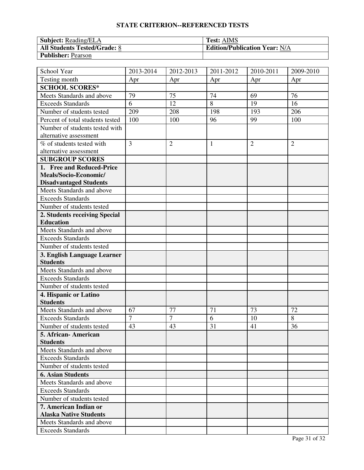| <b>Subject:</b> Reading/ELA         | <b>Test: AIMS</b>                    |
|-------------------------------------|--------------------------------------|
| <b>All Students Tested/Grade: 8</b> | <b>Edition/Publication Year: N/A</b> |
| <b>Publisher: Pearson</b>           |                                      |

| School Year                      | 2013-2014      | 2012-2013      | 2011-2012    | 2010-2011      | 2009-2010      |
|----------------------------------|----------------|----------------|--------------|----------------|----------------|
| Testing month                    | Apr            | Apr            | Apr          | Apr            | Apr            |
| <b>SCHOOL SCORES*</b>            |                |                |              |                |                |
| Meets Standards and above        | 79             | 75             | 74           | 69             | 76             |
| <b>Exceeds Standards</b>         | 6              | 12             | 8            | 19             | 16             |
| Number of students tested        | 209            | 208            | 198          | 193            | 206            |
| Percent of total students tested | 100            | 100            | 96           | 99             | 100            |
| Number of students tested with   |                |                |              |                |                |
| alternative assessment           |                |                |              |                |                |
| % of students tested with        | $\overline{3}$ | $\overline{2}$ | $\mathbf{1}$ | $\overline{2}$ | $\overline{2}$ |
| alternative assessment           |                |                |              |                |                |
| <b>SUBGROUP SCORES</b>           |                |                |              |                |                |
| 1. Free and Reduced-Price        |                |                |              |                |                |
| Meals/Socio-Economic/            |                |                |              |                |                |
| <b>Disadvantaged Students</b>    |                |                |              |                |                |
| Meets Standards and above        |                |                |              |                |                |
| <b>Exceeds Standards</b>         |                |                |              |                |                |
| Number of students tested        |                |                |              |                |                |
| 2. Students receiving Special    |                |                |              |                |                |
| <b>Education</b>                 |                |                |              |                |                |
| Meets Standards and above        |                |                |              |                |                |
| <b>Exceeds Standards</b>         |                |                |              |                |                |
| Number of students tested        |                |                |              |                |                |
| 3. English Language Learner      |                |                |              |                |                |
| <b>Students</b>                  |                |                |              |                |                |
| Meets Standards and above        |                |                |              |                |                |
| <b>Exceeds Standards</b>         |                |                |              |                |                |
| Number of students tested        |                |                |              |                |                |
| 4. Hispanic or Latino            |                |                |              |                |                |
| <b>Students</b>                  |                |                |              |                |                |
| Meets Standards and above        | 67             | 77             | 71           | 73             | 72             |
| <b>Exceeds Standards</b>         | $\overline{7}$ | $\overline{7}$ | 6            | 10             | 8              |
| Number of students tested        | 43             | 43             | 31           | 41             | 36             |
| 5. African- American             |                |                |              |                |                |
| <b>Students</b>                  |                |                |              |                |                |
| Meets Standards and above        |                |                |              |                |                |
| <b>Exceeds Standards</b>         |                |                |              |                |                |
| Number of students tested        |                |                |              |                |                |
| <b>6. Asian Students</b>         |                |                |              |                |                |
| Meets Standards and above        |                |                |              |                |                |
| <b>Exceeds Standards</b>         |                |                |              |                |                |
| Number of students tested        |                |                |              |                |                |
| 7. American Indian or            |                |                |              |                |                |
| <b>Alaska Native Students</b>    |                |                |              |                |                |
| Meets Standards and above        |                |                |              |                |                |
| <b>Exceeds Standards</b>         |                |                |              |                |                |